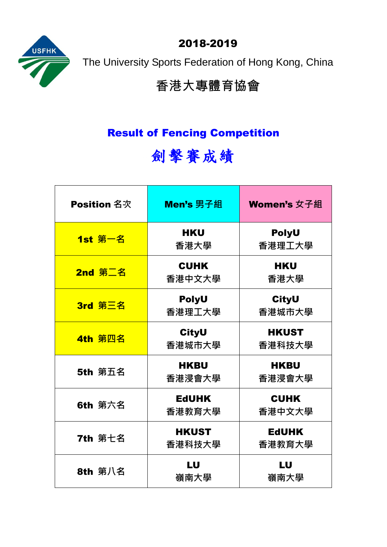2018-2019



The University Sports Federation of Hong Kong, China

## 香港大專體育協會

## Result of Fencing Competition

# 劍擊賽成績

| <b>Position</b> 名次 | Men's 男子組              | Women's 女子組            |
|--------------------|------------------------|------------------------|
| 1st 第一名            | <b>HKU</b><br>香港大學     | <b>PolyU</b><br>香港理工大學 |
| 2nd 第二名            | <b>CUHK</b><br>香港中文大學  | <b>HKU</b><br>香港大學     |
| 3rd 第三名            | <b>PolyU</b><br>香港理工大學 | <b>CityU</b><br>香港城市大學 |
| 4th 第四名            | <b>CityU</b><br>香港城市大學 | <b>HKUST</b><br>香港科技大學 |
| <b>5th 第五名</b>     | <b>HKBU</b><br>香港浸會大學  | <b>HKBU</b><br>香港浸會大學  |
| <b>6th</b> 第六名     | <b>EdUHK</b><br>香港教育大學 | <b>CUHK</b><br>香港中文大學  |
| <b>7th 第七名</b>     | <b>HKUST</b><br>香港科技大學 | <b>EdUHK</b><br>香港教育大學 |
| <b>8th</b> 第八名     | LU<br>嶺南大學             | LU<br>嶺南大學             |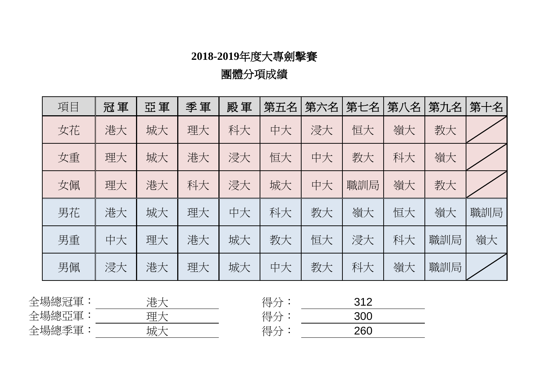團體分項成績

| 冠軍 | 亞軍 | 季軍 | 殿軍 | 第五名 | 第六名 | 第七名 | 第八名 | 第九名 | 第十名 |
|----|----|----|----|-----|-----|-----|-----|-----|-----|
| 港大 | 城大 | 理大 | 科大 | 中大  | 浸大  | 恒大  | 嶺大  | 教大  |     |
| 理大 | 城大 | 港大 | 浸大 | 恒大  | 中大  | 教大  | 科大  | 嶺大  |     |
| 理大 | 港大 | 科大 | 浸大 | 城大  | 中大  | 職訓局 | 嶺大  | 教大  |     |
| 港大 | 城大 | 理大 | 中大 | 科大  | 教大  | 嶺大  | 恒大  | 嶺大  | 職訓局 |
| 中大 | 理大 | 港大 | 城大 | 教大  | 恒大  | 浸大  | 科大  | 職訓局 | 嶺大  |
| 浸大 | 港大 | 理大 | 城大 | 中大  | 教大  | 科大  | 嶺大  | 職訓局 |     |
|    |    |    |    |     |     |     |     |     |     |

| 全場總冠軍 | r r.<br>$\overline{\phantom{a}}$<br>__<br>ノート<br>∸<br>◡ | ୵日<br>. .<br>__ | つイつ<br>ັ<br>_ |  |
|-------|---------------------------------------------------------|-----------------|---------------|--|
| 全場總亞軍 | 理·<br>一<br>حلب                                          | ୵目              | 30C           |  |
| 全場總季軍 | $L++$<br>呶                                              | 俎<br>—          | 260           |  |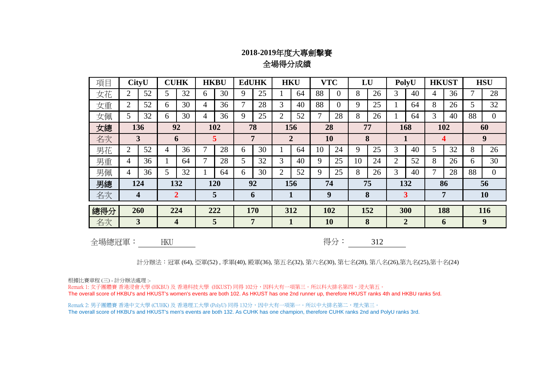### **2018-2019**年度大專劍擊賽 全場得分成績

| 項目  |                         | <b>CityU</b> |                         | <b>CUHK</b>    |    | <b>HKBU</b> |     | <b>EdUHK</b>        | <b>HKU</b>     |     |    | <b>VTC</b>     | LU  |     | PolyU |                | <b>HKUST</b> |    | <b>HSU</b> |                |
|-----|-------------------------|--------------|-------------------------|----------------|----|-------------|-----|---------------------|----------------|-----|----|----------------|-----|-----|-------|----------------|--------------|----|------------|----------------|
| 女花  | 2                       | 52           | 5                       | 32             | 6  | 30          | 9   | 25                  |                | 64  | 88 | $\theta$       | 8   | 26  | 3     | 40             | 4            | 36 |            | 28             |
| 女重  | 2                       | 52           | 6                       | 30             | 4  | 36          |     | 28                  | 3              | 40  | 88 | $\overline{0}$ | 9   | 25  |       | 64             | 8            | 26 | 5          | 32             |
| 女佩  | 5                       | 32           | 6                       | 30             | 4  | 36          | 9   | 25                  | $\overline{2}$ | 52  |    | 28             | 8   | 26  |       | 64             | 3            | 40 | 88         | $\overline{0}$ |
| 女總  | 92<br>136               |              |                         | 102            | 78 |             | 156 |                     | 28             |     | 77 |                | 168 |     | 102   |                | 60           |    |            |                |
| 名次  |                         | 3            |                         | 6              |    | 5           |     | 7<br>$\overline{2}$ |                |     | 10 |                | 8   |     |       |                | 4            |    | 9          |                |
| 男花  | $\overline{2}$          | 52           | 4                       | 36             | 7  | 28          | 6   | 30                  |                | 64  | 10 | 24             | 9   | 25  | 3     | 40             | 5            | 32 | 8          | 26             |
| 男重  | 4                       | 36           |                         | 64             | 7  | 28          | 5   | 32                  | 3              | 40  | 9  | 25             | 10  | 24  | 2     | 52             | 8            | 26 | 6          | 30             |
| 男佩  | 4                       | 36           | 5                       | 32             |    | 64          | 6   | 30                  | $\overline{2}$ | 52  | 9  | 25             | 8   | 26  | 3     | 40             | 7            | 28 | 88         | $\theta$       |
| 男總  | 124                     |              |                         | 132            |    | 120         |     | 92                  | 156            |     | 74 |                | 75  |     | 132   |                | 86           |    | 56         |                |
| 名次  | 4                       |              |                         | $\overline{2}$ |    | 5           |     | 6                   | 1              |     | 9  |                | 8   |     | 3     |                | 7            |    |            | <b>10</b>      |
| 總得分 |                         | 260          | 224<br>222<br>170       |                |    | 312         |     | 102                 |                | 152 |    | 300            |     | 188 |       | 116            |              |    |            |                |
| 名次  | $\overline{\mathbf{3}}$ |              | $\overline{\mathbf{4}}$ |                |    | 5           |     | 7                   |                |     |    | 10             | 8   |     |       | $\overline{2}$ |              | 6  |            | 9              |

全場總冠軍:

HKU 得分: 312

計分辦法︰冠軍 (64), 亞軍(52) , 季軍(40), 殿軍(36), 第五名(32), 第六名(30), 第七名(28), 第八名(26),第九名(25),第十名(24)

根據比賽章程 (三) - 計分辦法處理 :-

Remark 1: 女子團體賽 香港浸會大學 (HKBU) 及 香港科技大學 (HKUST) 同得 102分,因科大有一項第三。所以科大排名第四,浸大第五。 The overall score of HKBU's and HKUST's women's events are both 102. As HKUST has one 2nd runner up, therefore HKUST ranks 4th and HKBU ranks 5rd.

Remark 2: 男子團體賽 香港中文大學 (CUHK) 及 香港理工大學 (PolyU) 同得 132分,因中大有一項第一。所以中大排名第二,理大第三。 The overall score of HKBU's and HKUST's men's events are both 132. As CUHK has one champion, therefore CUHK ranks 2nd and PolyU ranks 3rd.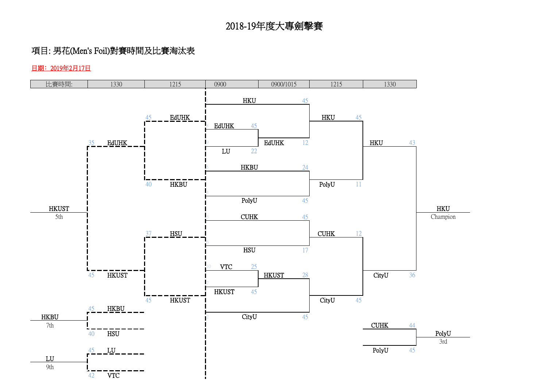### 項目: 男花(Men's Foil)對賽時間及比賽淘汰表

#### 日期﹕2019年2月17日

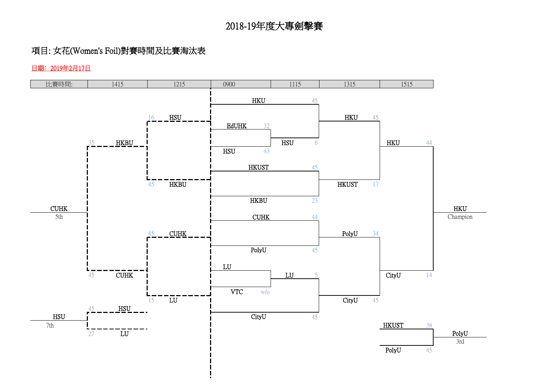### 項目: 女花(Women's Foil)對賽時間及比賽淘汰表

#### 日期﹕2019年2月17日

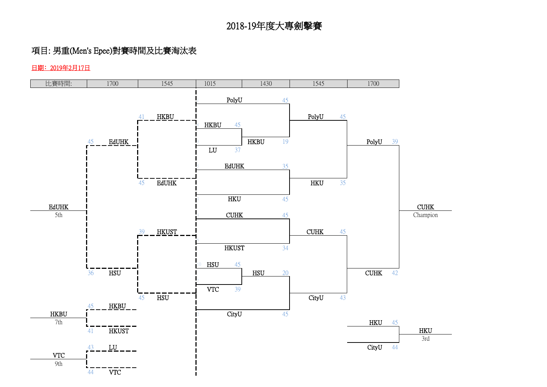### 項目: 男重(Men's Epee)對賽時間及比賽淘汰表

#### 日期﹕2019年2月17日

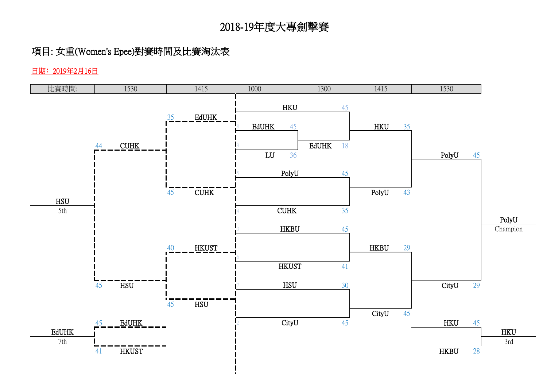## 項目: 女重(Women's Epee)對賽時間及比賽淘汰表

日期﹕2019年2月16日

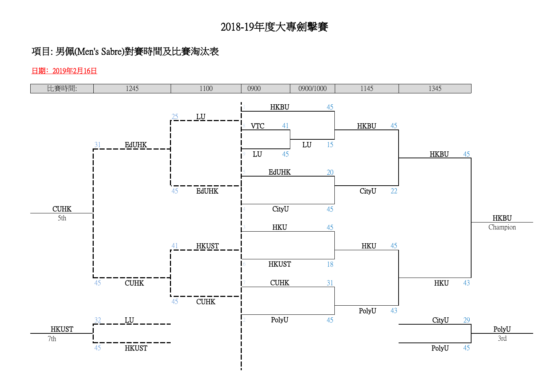## 項目: 男佩(Men's Sabre)對賽時間及比賽淘汰表

日期﹕2019年2月16日